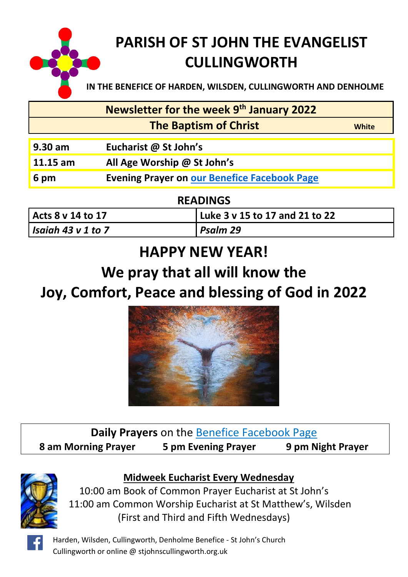

# **PARISH OF ST JOHN THE EVANGELIST CULLINGWORTH**

**IN THE BENEFICE OF HARDEN, WILSDEN, CULLINGWORTH AND DENHOLME**

**Newsletter for the week 9 th January 2022**

 **The Baptism of Christ** *White* 

- **9.30 am Eucharist @ St John's**
- **11.15 am All Age Worship @ St John's**

**6 pm Evening Prayer on [our Benefice Facebook Page](https://www.facebook.com/Harden-Wilsden-Cullingworth-Denholme-Benefice)**

**READINGS**

| Acts 8 v 14 to 17  | Luke 3 v 15 to 17 and 21 to 22 |
|--------------------|--------------------------------|
| Isaiah 43 v 1 to 7 | Psalm 29                       |

# **HAPPY NEW YEAR!**

# **We pray that all will know the**

# **Joy, Comfort, Peace and blessing of God in 2022**



**Daily Prayers** on the [Benefice Facebook Page](https://www.facebook.com/Harden-Wilsden-Cullingworth-Denholme-Benefice) **8 am Morning Prayer 5 pm Evening Prayer 9 pm Night Prayer**



## **Midweek Eucharist Every Wednesday**

10:00 am Book of Common Prayer Eucharist at St John's 11:00 am Common Worship Eucharist at St Matthew's, Wilsden (First and Third and Fifth Wednesdays)

Harden, Wilsden, Cullingworth, Denholme Benefice - St John's Church Cullingworth or online @ stjohnscullingworth.org.uk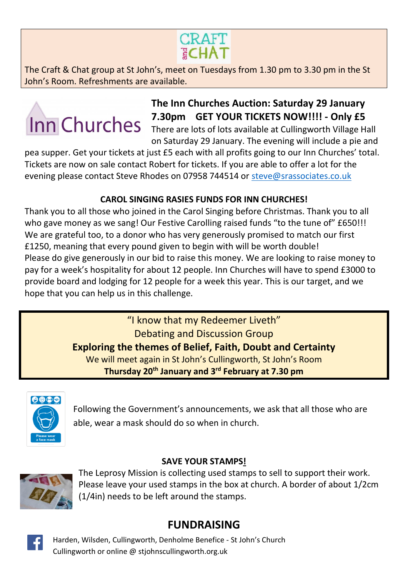

The Craft & Chat group at St John's, meet on Tuesdays from 1.30 pm to 3.30 pm in the St John's Room. Refreshments are available.

# Inn Churches

# **The Inn Churches Auction: Saturday 29 January 7.30pm GET YOUR TICKETS NOW!!!! - Only £5**

There are lots of lots available at Cullingworth Village Hall on Saturday 29 January. The evening will include a pie and

pea supper. Get your tickets at just £5 each with all profits going to our Inn Churches' total. Tickets are now on sale contact Robert for tickets. If you are able to offer a lot for the evening please contact Steve Rhodes on 07958 744514 or [steve@srassociates.co.uk](file:///C:/Users/richard%20burge/AppData/Local/Microsoft/Windows/INetCache/Content.Outlook/PTJPOGMM/steve@srassociates.co.uk)

#### **CAROL SINGING RASIES FUNDS FOR INN CHURCHES!**

Thank you to all those who joined in the Carol Singing before Christmas. Thank you to all who gave money as we sang! Our Festive Carolling raised funds "to the tune of" £650!!! We are grateful too, to a donor who has very generously promised to match our first £1250, meaning that every pound given to begin with will be worth double! Please do give generously in our bid to raise this money. We are looking to raise money to pay for a week's hospitality for about 12 people. Inn Churches will have to spend £3000 to provide board and lodging for 12 people for a week this year. This is our target, and we hope that you can help us in this challenge.

> "I know that my Redeemer Liveth" Debating and Discussion Group **Exploring the themes of Belief, Faith, Doubt and Certainty** We will meet again in St John's Cullingworth, St John's Room

**Thursday 20th January and 3 rd February at 7.30 pm**



Following the Government's announcements, we ask that all those who are able, wear a mask should do so when in church.

#### **SAVE YOUR STAMPS!**



The Leprosy Mission is collecting used stamps to sell to support their work. Please leave your used stamps in the box at church. A border of about 1/2cm (1/4in) needs to be left around the stamps.

## **FUNDRAISING**



Harden, Wilsden, Cullingworth, Denholme Benefice - St John's Church Cullingworth or online @ stjohnscullingworth.org.uk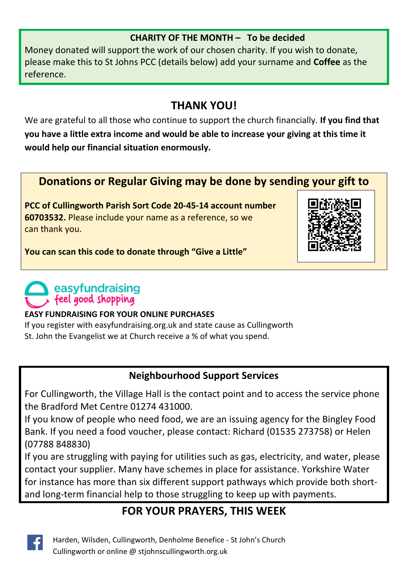#### **CHARITY OF THE MONTH – To be decided**

Money donated will support the work of our chosen charity. If you wish to donate, please make this to St Johns PCC (details below) add your surname and **Coffee** as the reference.

## **THANK YOU!**

We are grateful to all those who continue to support the church financially. **If you find that you have a little extra income and would be able to increase your giving at this time it would help our financial situation enormously.**

## **Donations or Regular Giving may be done by sending your gift to**

**PCC of Cullingworth Parish Sort Code 20-45-14 account number 60703532.** Please include your name as a reference, so we can thank you.



**You can scan this code to donate through "Give a Little"**

## easyfundraising feel good shopping

#### **EASY FUNDRAISING FOR YOUR ONLINE PURCHASES**

If you register with easyfundraising.org.uk and state cause as Cullingworth St. John the Evangelist we at Church receive a % of what you spend.

#### **Neighbourhood Support Services**

For Cullingworth, the Village Hall is the contact point and to access the service phone the Bradford Met Centre 01274 431000.

If you know of people who need food, we are an issuing agency for the Bingley Food Bank. If you need a food voucher, please contact: Richard (01535 273758) or Helen (07788 848830)

If you are struggling with paying for utilities such as gas, electricity, and water, please contact your supplier. Many have schemes in place for assistance. Yorkshire Water for instance has more than six different support pathways which provide both shortand long-term financial help to those struggling to keep up with payments.

## **FOR YOUR PRAYERS, THIS WEEK**



Harden, Wilsden, Cullingworth, Denholme Benefice - St John's Church Cullingworth or online @ stjohnscullingworth.org.uk